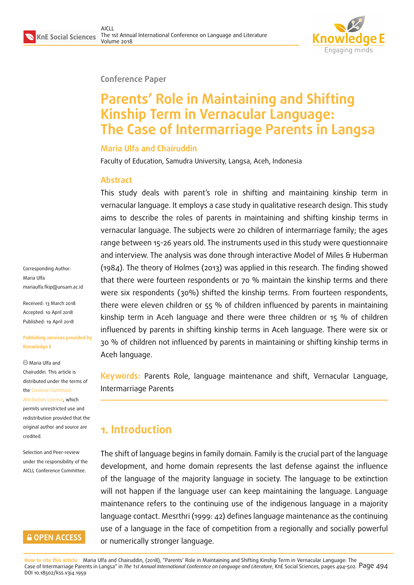

#### **Conference Paper**

# **Parents' Role in Maintaining and Shifting Kinship Term in Vernacular Language: The Case of Intermarriage Parents in Langsa**

#### **Maria Ulfa and Chairuddin**

Faculty of Education, Samudra University, Langsa, Aceh, Indonesia

### **Abstract**

This study deals with parent's role in shifting and maintaining kinship term in vernacular language. It employs a case study in qualitative research design. This study aims to describe the roles of parents in maintaining and shifting kinship terms in vernacular language. The subjects were 20 children of intermarriage family; the ages range between 15-26 years old. The instruments used in this study were questionnaire and interview. The analysis was done through interactive Model of Miles & Huberman (1984). The theory of Holmes (2013) was applied in this research. The finding showed that there were fourteen respondents or 70 % maintain the kinship terms and there were six respondents (30%) shifted the kinship terms. From fourteen respondents, there were eleven children or 55 % of children influenced by parents in maintaining kinship term in Aceh language and there were three children or 15 % of children influenced by parents in shifting kinship terms in Aceh language. There were six or 30 % of children not influenced by parents in maintaining or shifting kinship terms in Aceh language.

**Keywords:** Parents Role, language maintenance and shift, Vernacular Language, Intermarriage Parents

### **1. Introduction**

The shift of language begins in family domain. Family is the crucial part of the language development, and home domain represents the last defense against the influence of the language of the majority language in society. The language to be extinction will not happen if the language user can keep maintaining the language. Language maintenance refers to the continuing use of the indigenous language in a majority language contact. Mesrthri (1999: 42) defines language maintenance as the continuing use of a language in the face of competition from a regionally and socially powerful or numerically stronger language.

Corresponding Author: Maria Ulfa mariaulfa.fkip@unsam.ac.id

Received: 13 March 2018 Accepted: 10 April 2018 [Published: 19 April 2018](mailto:mariaulfa.fkip@unsam.ac.id)

#### **Publishing services provided by Knowledge E**

Maria Ulfa and Chairuddin. This article is distributed under the terms of the Creative Commons

Attribution License, which permits unrestricted use and redistribution provided that the ori[ginal author and sou](https://creativecommons.org/licenses/by/4.0/)rce are [credited.](https://creativecommons.org/licenses/by/4.0/)

Selection and Peer-review under the responsibility of the AICLL Conference Committee.

### **GOPEN ACCESS**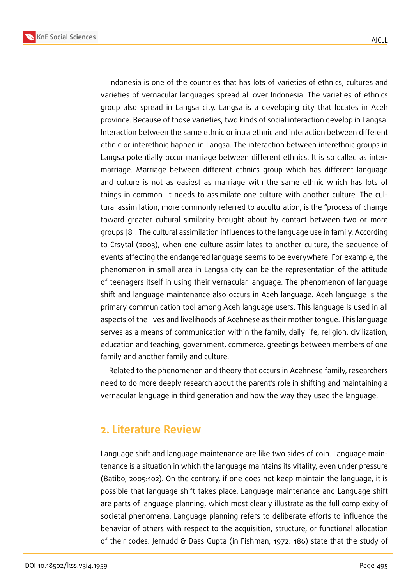Indonesia is one of the countries that has lots of varieties of ethnics, cultures and varieties of vernacular languages spread all over Indonesia. The varieties of ethnics group also spread in Langsa city. Langsa is a developing city that locates in Aceh province. Because of those varieties, two kinds of social interaction develop in Langsa. Interaction between the same ethnic or intra ethnic and interaction between different ethnic or interethnic happen in Langsa. The interaction between interethnic groups in Langsa potentially occur marriage between different ethnics. It is so called as intermarriage. Marriage between different ethnics group which has different language and culture is not as easiest as marriage with the same ethnic which has lots of things in common. It needs to assimilate one culture with another culture. The cultural assimilation, more commonly referred to acculturation, is the "process of change toward greater cultural similarity brought about by contact between two or more groups [8]. The cultural assimilation influences to the language use in family. According to Crsytal (2003), when one culture assimilates to another culture, the sequence of events affecting the endangered language seems to be everywhere. For example, the pheno[me](#page-8-0)non in small area in Langsa city can be the representation of the attitude of teenagers itself in using their vernacular language. The phenomenon of language shift and language maintenance also occurs in Aceh language. Aceh language is the primary communication tool among Aceh language users. This language is used in all aspects of the lives and livelihoods of Acehnese as their mother tongue. This language serves as a means of communication within the family, daily life, religion, civilization, education and teaching, government, commerce, greetings between members of one family and another family and culture.

Related to the phenomenon and theory that occurs in Acehnese family, researchers need to do more deeply research about the parent's role in shifting and maintaining a vernacular language in third generation and how the way they used the language.

### **2. Literature Review**

Language shift and language maintenance are like two sides of coin. Language maintenance is a situation in which the language maintains its vitality, even under pressure (Batibo, 2005:102). On the contrary, if one does not keep maintain the language, it is possible that language shift takes place. Language maintenance and Language shift are parts of language planning, which most clearly illustrate as the full complexity of societal phenomena. Language planning refers to deliberate efforts to influence the behavior of others with respect to the acquisition, structure, or functional allocation of their codes. Jernudd & Dass Gupta (in Fishman, 1972: 186) state that the study of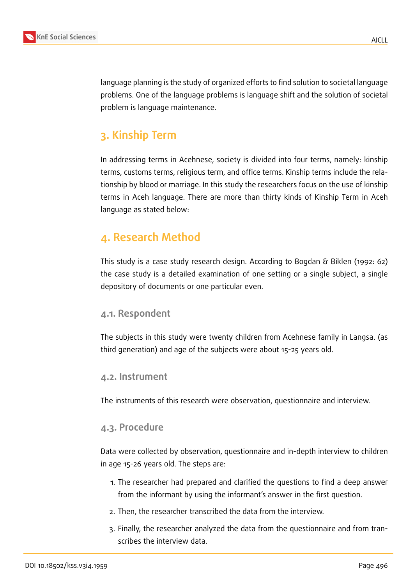

language planning is the study of organized efforts to find solution to societal language problems. One of the language problems is language shift and the solution of societal problem is language maintenance.

## **3. Kinship Term**

In addressing terms in Acehnese, society is divided into four terms, namely: kinship terms, customs terms, religious term, and office terms. Kinship terms include the relationship by blood or marriage. In this study the researchers focus on the use of kinship terms in Aceh language. There are more than thirty kinds of Kinship Term in Aceh language as stated below:

### **4. Research Method**

This study is a case study research design. According to Bogdan & Biklen (1992: 62) the case study is a detailed examination of one setting or a single subject, a single depository of documents or one particular even.

### **4.1. Respondent**

The subjects in this study were twenty children from Acehnese family in Langsa. (as third generation) and age of the subjects were about 15-25 years old.

### **4.2. Instrument**

The instruments of this research were observation, questionnaire and interview.

### **4.3. Procedure**

Data were collected by observation, questionnaire and in-depth interview to children in age 15-26 years old. The steps are:

- 1. The researcher had prepared and clarified the questions to find a deep answer from the informant by using the informant's answer in the first question.
- 2. Then, the researcher transcribed the data from the interview.
- 3. Finally, the researcher analyzed the data from the questionnaire and from transcribes the interview data.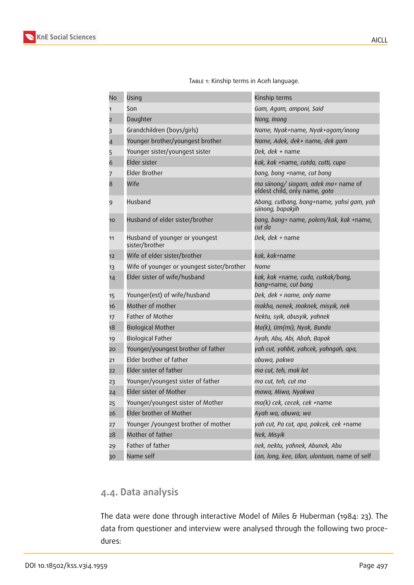| No             | Using                                            | Kinship terms                                                         |
|----------------|--------------------------------------------------|-----------------------------------------------------------------------|
| 1              | Son                                              | Gam, Agam, amponi, Said                                               |
| $\overline{2}$ | Daughter                                         | Nong, Inong                                                           |
| 3              | Grandchildren (boys/girls)                       | Name, Nyak+name, Nyak+agam/inong                                      |
| 4              | Younger brother/youngest brother                 | Name, Adek, dek+ name, dek gam                                        |
| 5              | Younger sister/youngest sister                   | Dek, dek + name                                                       |
| 6              | Elder sister                                     | kak, kak +name, cutda, cutti, cupo                                    |
| 7              | <b>Elder Brother</b>                             | bang, bang +name, cut bang                                            |
| 8              | Wife                                             | ma siinong/ siagam, adek ma+ name of<br>eldest child, only name, gata |
| 9              | Husband                                          | Abang, cutbang, bang+name, yahsi gam, yah<br>siinong, bapakjih        |
| 10             | Husband of elder sister/brother                  | bang, bang+ name, polem/kak, kak +name,<br>cut da                     |
| 11             | Husband of younger or youngest<br>sister/brother | Dek, dek + name                                                       |
| 12             | Wife of elder sister/brother                     | kak, kak+name                                                         |
| 13             | Wife of younger or youngest sister/brother       | Name                                                                  |
| 14             | Elder sister of wife/husband                     | kak, kak +name, cuda, cutkak/bang,<br>bang+name, cut bang             |
| 15             | Younger(est) of wife/husband                     | Dek, dek + name, only name                                            |
| 16             | Mother of mother                                 | makha, nenek, maknek, misyik, nek                                     |
| 17             | <b>Father of Mother</b>                          | Nektu, syik, abusyik, yahnek                                          |
| 18             | <b>Biological Mother</b>                         | Ma(k), Um(mi), Nyak, Bunda                                            |
| 19             | <b>Biological Father</b>                         | Ayah, Abu, Abi, Abah, Bapak                                           |
| 20             | Younger/youngest brother of father               | yah cut, yahbit, yahcek, yahngah, apa,                                |
| 21             | Elder brother of father                          | abuwa, pakwa                                                          |
| 22             | Elder sister of father                           | ma cut, teh, mak lot                                                  |
| 23             | Younger/youngest sister of father                | ma cut, teh, cut ma                                                   |
| 24             | Elder sister of Mother                           | mawa, Miwa, Nyakwa                                                    |
| 25             | Younger/youngest sister of Mother                | ma(k) cek, cecek, cek +name                                           |
| 26             | Elder brother of Mother                          | Ayah wa, abuwa, wa                                                    |
| 27             | Younger /youngest brother of mother              | yah cut, Pa cut, apa, pakcek, cek +name                               |
| 28             | Mother of father                                 | Nek, Misyik                                                           |
| 29             | Father of father                                 | nek, nektu, yahnek, Abunek, Abu                                       |
| 30             | Name self                                        | Lon, long, kee, Ulon, ulontuan, name of self                          |

TABLE 1: Kinship terms in Aceh language.

### **4.4. Data analysis**

The data were done through interactive Model of Miles & Huberman (1984: 23). The data from questioner and interview were analysed through the following two procedures: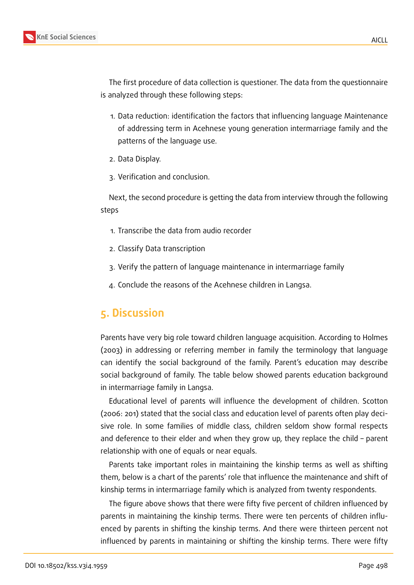The first procedure of data collection is questioner. The data from the questionnaire is analyzed through these following steps:

- 1. Data reduction: identification the factors that influencing language Maintenance of addressing term in Acehnese young generation intermarriage family and the patterns of the language use.
- 2. Data Display.
- 3. Verification and conclusion.

Next, the second procedure is getting the data from interview through the following steps

- 1. Transcribe the data from audio recorder
- 2. Classify Data transcription
- 3. Verify the pattern of language maintenance in intermarriage family
- 4. Conclude the reasons of the Acehnese children in Langsa.

### **5. Discussion**

Parents have very big role toward children language acquisition. According to Holmes (2003) in addressing or referring member in family the terminology that language can identify the social background of the family. Parent's education may describe social background of family. The table below showed parents education background in intermarriage family in Langsa.

Educational level of parents will influence the development of children. Scotton (2006: 201) stated that the social class and education level of parents often play decisive role. In some families of middle class, children seldom show formal respects and deference to their elder and when they grow up, they replace the child – parent relationship with one of equals or near equals.

Parents take important roles in maintaining the kinship terms as well as shifting them, below is a chart of the parents' role that influence the maintenance and shift of kinship terms in intermarriage family which is analyzed from twenty respondents.

The figure above shows that there were fifty five percent of children influenced by parents in maintaining the kinship terms. There were ten percents of children influenced by parents in shifting the kinship terms. And there were thirteen percent not influenced by parents in maintaining or shifting the kinship terms. There were fifty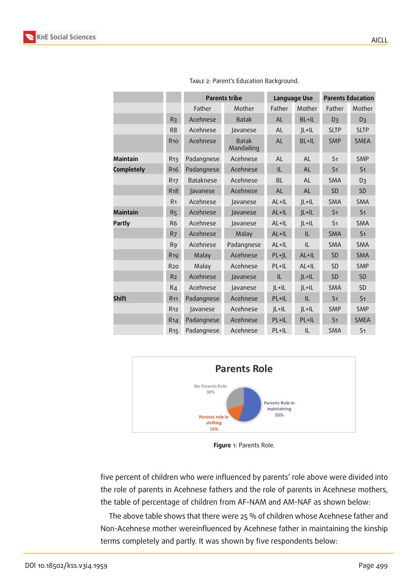

|                   |                       | <b>Parents tribe</b> |                            | Language Use |           | <b>Parents Education</b> |                |
|-------------------|-----------------------|----------------------|----------------------------|--------------|-----------|--------------------------|----------------|
|                   |                       | Father               | Mother                     | Father       | Mother    | Father                   | Mother         |
|                   | R <sub>3</sub>        | Acehnese             | <b>Batak</b>               | <b>AL</b>    | BL+IL     | D <sub>3</sub>           | D <sub>3</sub> |
|                   | R <sub>8</sub>        | Acehnese             | Javanese                   | <b>AL</b>    | $JL+IL$   | <b>SLTP</b>              | <b>SLTP</b>    |
|                   | <b>R10</b>            | Acehnese             | <b>Batak</b><br>Mandailing | AL           | BL+IL     | <b>SMP</b>               | <b>SMEA</b>    |
| <b>Maintain</b>   | R <sub>13</sub>       | Padangnese           | Acehnese                   | <b>AL</b>    | <b>AL</b> | S <sub>1</sub>           | <b>SMP</b>     |
| <b>Completely</b> | R <sub>16</sub>       | Padangnese           | Acehnese                   | IL           | <b>AL</b> | S <sub>1</sub>           | S <sub>1</sub> |
|                   | <b>R<sub>17</sub></b> | Bataknese            | Acehnese                   | <b>BL</b>    | <b>AL</b> | SMA                      | D <sub>3</sub> |
|                   | <b>R<sub>18</sub></b> | Javanese             | Acehnese                   | AL           | AL        | <b>SD</b>                | SD             |
|                   | R <sub>1</sub>        | Acehnese             | Javanese                   | $AL+IL$      | $JL+IL$   | SMA                      | SMA            |
| <b>Maintain</b>   | R <sub>5</sub>        | Acehnese             | Javanese                   | AL+IL        | $JL+IL$   | S <sub>1</sub>           | S <sub>1</sub> |
| <b>Partly</b>     | R <sub>6</sub>        | Acehnese             | Javanese                   | $AL + IL$    | $JL+IL$   | S <sub>1</sub>           | SMA            |
|                   | R <sub>7</sub>        | Acehnese             | Malay                      | $AL + IL$    | IL        | <b>SMA</b>               | S <sub>1</sub> |
|                   | R <sub>9</sub>        | Acehnese             | Padangnese                 | $AL + IL$    | IL        | SMA                      | SMA            |
|                   | <b>R<sub>19</sub></b> | Malay                | Acehnese                   | $PL+JL$      | AL+IL     | <b>SD</b>                | SMA            |
|                   | <b>R20</b>            | Malay                | Acehnese                   | PL+IL        | AL+IL     | <b>SD</b>                | <b>SMP</b>     |
|                   | R <sub>2</sub>        | Acehnese             | Javanese                   | IL           | $JL+IL$   | <b>SD</b>                | <b>SD</b>      |
|                   | R <sub>4</sub>        | Acehnese             | Javanese                   | $JL+IL$      | $JL+IL$   | <b>SMA</b>               | <b>SD</b>      |
| <b>Shift</b>      | R <sub>11</sub>       | Padangnese           | Acehnese                   | PL+IL        | IL        | S <sub>1</sub>           | S <sub>1</sub> |
|                   | <b>R12</b>            | Javanese             | Acehnese                   | $JL+IL$      | $JL+IL$   | <b>SMP</b>               | <b>SMP</b>     |
|                   | R <sub>14</sub>       | Padangnese           | Acehnese                   | PL+IL        | PL+IL     | S <sub>1</sub>           | <b>SMEA</b>    |
|                   | R <sub>15</sub>       | Padangnese           | Acehnese                   | PL+IL        | IL        | <b>SMA</b>               | S <sub>1</sub> |

Table 2: Parent's Education Background.



**Figure** 1: Parents Role.

five percent of children who were influenced by parents' role above were divided into the role of parents in Acehnese fathers and the role of parents in Acehnese mothers, the table of percentage of children from AF-NAM and AM-NAF as shown below:

The above table shows that there were 25 % of children whose Acehnese father and Non-Acehnese mother wereinfluenced by Acehnese father in maintaining the kinship terms completely and partly. It was shown by five respondents below: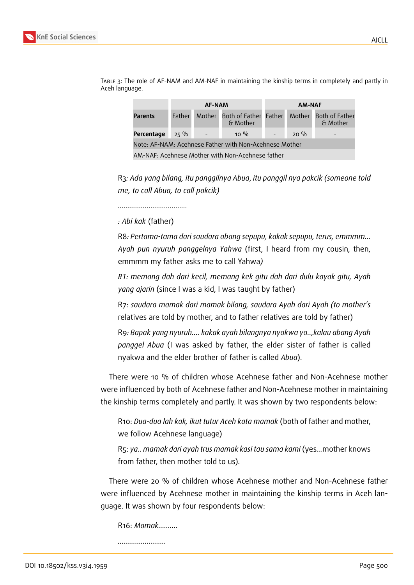

Table 3: The role of AF-NAM and AM-NAF in maintaining the kinship terms in completely and partly in Aceh language.

R3*: Ada yang bilang, itu panggilnya Abua*, *itu panggil nya pakcik (someone told me, to call Abua, to call pakcik)*

*………………………………*

*: Abi kak* (father)

R8*: Pertama-tama dari saudara abang sepupu, kakak sepupu, terus, emmmm… Ayah pun nyuruh panggelnya Yahwa* (first, I heard from my cousin, then, emmmm my father asks me to call Yahwa*)*

*R1: memang dah dari kecil, memang kek gitu dah dari dulu kayak gitu, Ayah yang ajarin* (since I was a kid, I was taught by father)

R7: *saudara mamak dari mamak bilang, saudara Ayah dari Ayah (to mother's* relatives are told by mother, and to father relatives are told by father)

R9*: Bapak yang nyuruh…. kakak ayah bilangnya nyakwa ya..,kalau abang Ayah panggel Abua* (I was asked by father, the elder sister of father is called nyakwa and the elder brother of father is called *Abua*).

There were 10 % of children whose Acehnese father and Non-Acehnese mother were influenced by both of Acehnese father and Non-Acehnese mother in maintaining the kinship terms completely and partly. It was shown by two respondents below:

R10: *Dua-dua lah kak, ikut tutur Aceh kata mamak* (both of father and mother, we follow Acehnese language)

R5: *ya.. mamak dari ayah trus mamak kasi tau sama kami* (yes*…*mother knows from father, then mother told to us).

There were 20 % of children whose Acehnese mother and Non-Acehnese father were influenced by Acehnese mother in maintaining the kinship terms in Aceh language. It was shown by four respondents below:

R16: *Mamak……….*

*…………………….*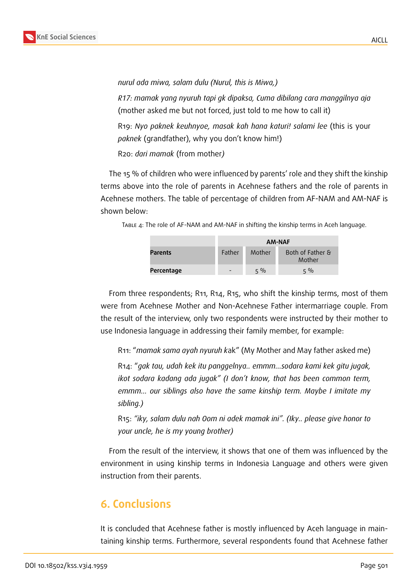

*nurul ada miwa, salam dulu (Nurul, this is Miwa,)*

*R17: mamak yang nyuruh tapi gk dipaksa, Cuma dibilang cara manggilnya aja* (mother asked me but not forced, just told to me how to call it)

R19: *Nyo paknek keuhnyoe, masak kah hana katuri! salami lee* (this is your *paknek* (grandfather), why you don't know him!)

R20: *dari mamak* (from mother*)*

The 15 % of children who were influenced by parents' role and they shift the kinship terms above into the role of parents in Acehnese fathers and the role of parents in Acehnese mothers. The table of percentage of children from AF-NAM and AM-NAF is shown below:

Table 4: The role of AF-NAM and AM-NAF in shifting the kinship terms in Aceh language.

|                | AM-NAF                   |        |                            |  |  |
|----------------|--------------------------|--------|----------------------------|--|--|
| <b>Parents</b> | Father                   | Mother | Both of Father &<br>Mother |  |  |
| Percentage     | $\overline{\phantom{a}}$ | $5\%$  | $5\%$                      |  |  |

From three respondents; R11, R14, R15, who shift the kinship terms, most of them were from Acehnese Mother and Non-Acehnese Father intermarriage couple. From the result of the interview, only two respondents were instructed by their mother to use Indonesia language in addressing their family member, for example:

R11: "*mamak sama ayah nyuruh k*ak" (My Mother and May father asked me)

R14: "*gak tau, udah kek itu panggelnya.. emmm...sodara kami kek gitu jugak, ikot sodara kadang ada jugak" (I don't know, that has been common term, emmm… our siblings also have the same kinship term. Maybe I imitate my sibling.)*

R15: *"iky, salam dulu nah Oom ni adek mamak ini". (Iky.. please give honor to your uncle, he is my young brother)*

From the result of the interview, it shows that one of them was influenced by the environment in using kinship terms in Indonesia Language and others were given instruction from their parents.

### **6. Conclusions**

It is concluded that Acehnese father is mostly influenced by Aceh language in maintaining kinship terms. Furthermore, several respondents found that Acehnese father